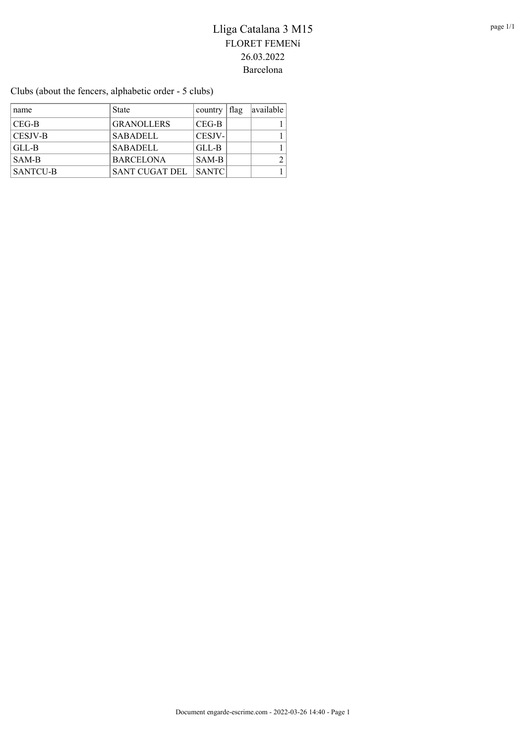Clubs (about the fencers, alphabetic order - 5 clubs)

| name            | <b>State</b>          | country      | flag | available |
|-----------------|-----------------------|--------------|------|-----------|
| CEG-B           | <b>GRANOLLERS</b>     | $CEG-B$      |      |           |
| <b>CESJV-B</b>  | <b>SABADELL</b>       | CESJV-       |      |           |
| GLL-B           | <b>SABADELL</b>       | GLL-B        |      |           |
| SAM-B           | <b>BARCELONA</b>      | SAM-B        |      |           |
| <b>SANTCU-B</b> | <b>SANT CUGAT DEL</b> | <b>SANTC</b> |      |           |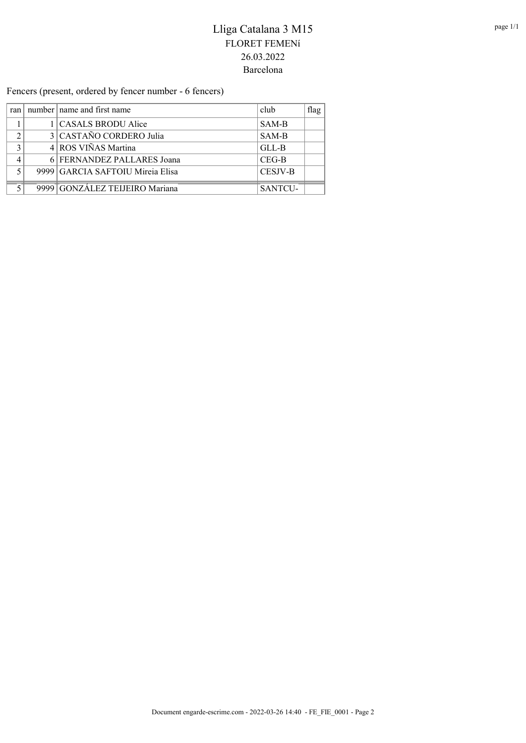Fencers (present, ordered by fencer number - 6 fencers)

|   | ran   number   name and first name | club    | flag $ $ |
|---|------------------------------------|---------|----------|
|   | CASALS BRODU Alice                 | SAM-B   |          |
|   | 3 CASTAÑO CORDERO Julia            | SAM-B   |          |
| ◠ | 4 ROS VIÑAS Martina                | GLL-B   |          |
|   | 6 FERNANDEZ PALLARES Joana         | $CEG-B$ |          |
|   | 9999 GARCIA SAFTOIU Mireia Elisa   | CESJV-B |          |
|   | 9999 GONZÁLEZ TEIJEIRO Mariana     | SANTCU- |          |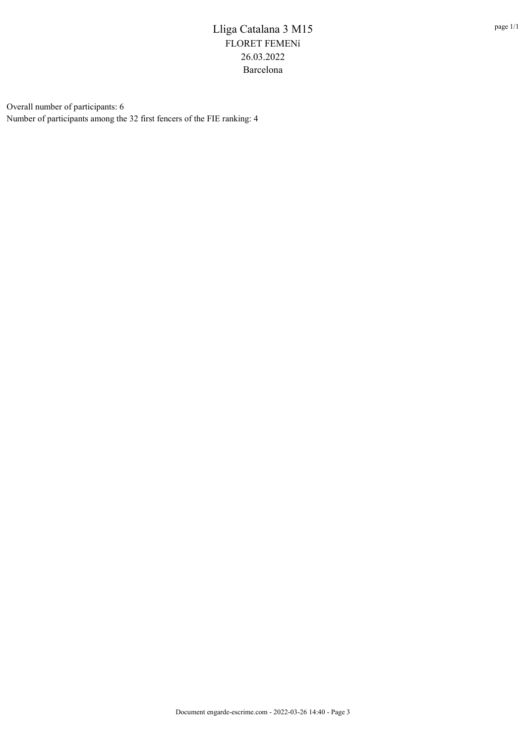Overall number of participants: 6 Number of participants among the 32 first fencers of the FIE ranking: 4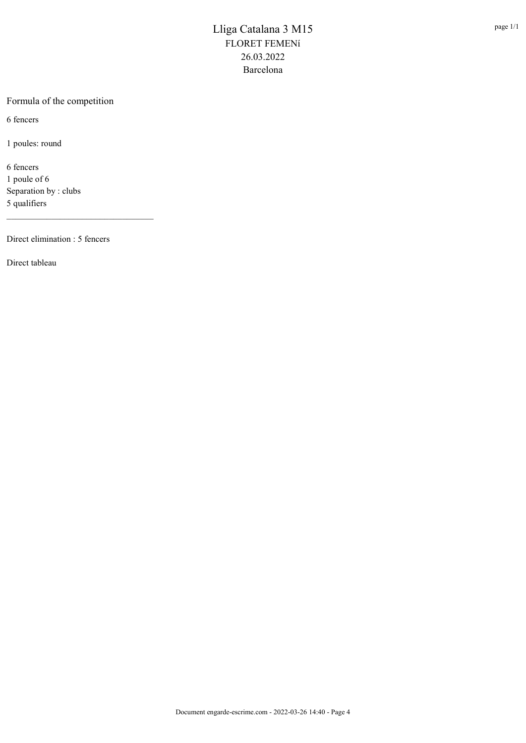#### Formula of the competition

6 fencers

1 poules: round

6 fencers 1 poule of 6 Separation by : clubs 5 qualifiers

Direct elimination : 5 fencers

\_\_\_\_\_\_\_\_\_\_\_\_\_\_\_\_\_\_\_\_\_\_\_\_\_\_\_\_\_\_\_\_\_

Direct tableau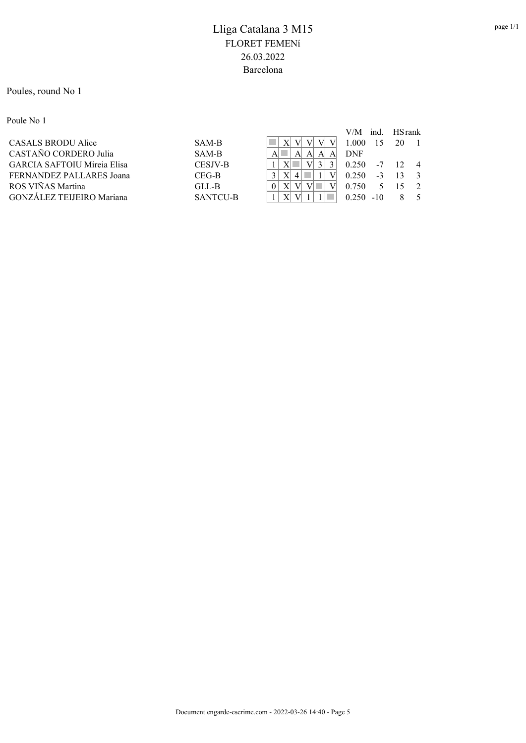#### Poules, round No 1

Poule No 1

|                             |                 |             | V/M        | ind.  | <b>HS</b> rank  |                |
|-----------------------------|-----------------|-------------|------------|-------|-----------------|----------------|
| CASALS BRODU Alice          | SAM-B           | V           | 1.000      |       | 20              |                |
| CASTAÑO CORDERO Julia       | SAM-B           | A<br>A<br>A | <b>DNF</b> |       |                 |                |
| GARCIA SAFTOIU Mireia Elisa | CESJV-B         |             | 0.250      | $-7$  | 12 <sup>°</sup> | $\overline{4}$ |
| FERNANDEZ PALLARES Joana    | CEG-B           |             | 0.250      | $-3$  |                 |                |
| ROS VIÑAS Martina           | GLL-B           |             | 0.750      |       |                 |                |
| GONZÁLEZ TEIJEIRO Mariana   | <b>SANTCU-B</b> |             | 0.250      | $-10$ |                 |                |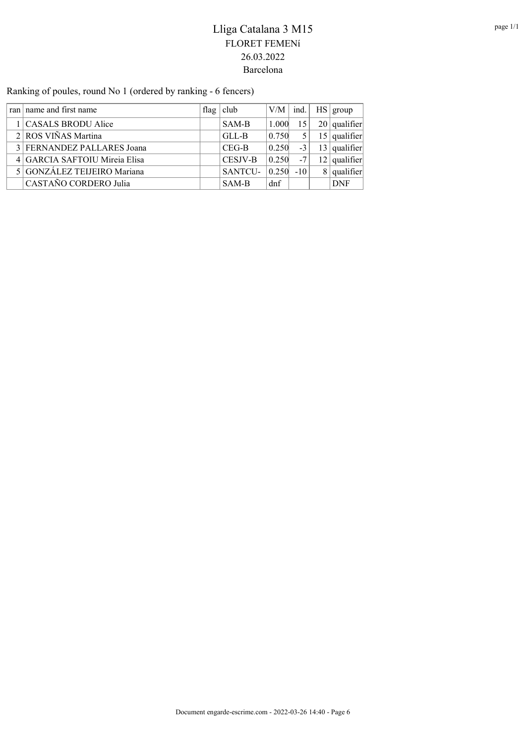Ranking of poules, round No 1 (ordered by ranking - 6 fencers)

| ran name and first name       | flag club | $ V/M $ ind. |       | HS   group     |
|-------------------------------|-----------|--------------|-------|----------------|
| 1   CASALS BRODU Alice        | SAM-B     | 1.000        | 15    | $20$ qualifier |
| 2 ROS VIÑAS Martina           | GLL-B     | 0.750        | 5     | $15$ qualifier |
| 3 FERNANDEZ PALLARES Joana    | $CEG-B$   | 0.250        | $-3$  | $13$ qualifier |
| 4 GARCIA SAFTOIU Mireia Elisa | CESJV-B   | 0.250        | $-7$  | $12$ qualifier |
| 5 GONZÁLEZ TEIJEIRO Mariana   | SANTCU-   | 0.250        | $-10$ | qualifier      |
| CASTAÑO CORDERO Julia         | SAM-B     | dnf          |       | <b>DNF</b>     |
|                               |           |              |       |                |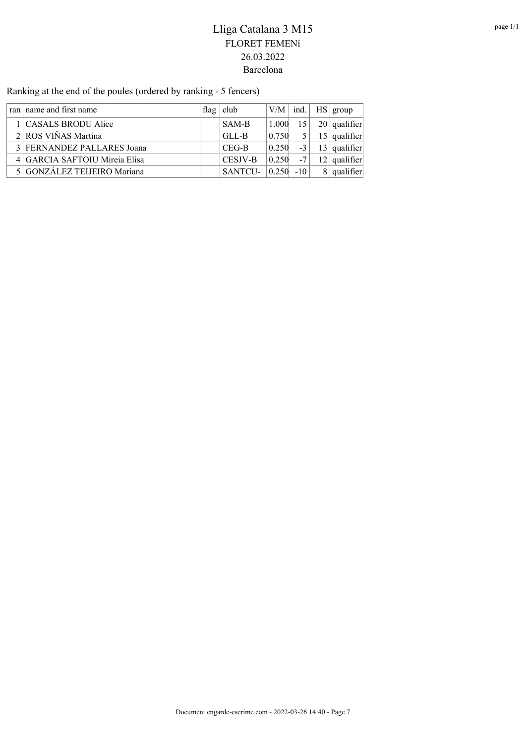Ranking at the end of the poules (ordered by ranking - 5 fencers)

|  | ran name and first name       | flag   club    |       |       | $ V/M $ ind.   HS   group |
|--|-------------------------------|----------------|-------|-------|---------------------------|
|  | 1   CASALS BRODU Alice        | SAM-B          | 1.000 | 15    | $20$ qualifier            |
|  | $2$ ROS VIÑAS Martina         | GLL-B          | 0.750 | 5     | $15$ qualifier            |
|  | 3 FERNANDEZ PALLARES Joana    | $CEG-B$        | 0.250 | $-3$  | $13$ qualifier            |
|  | 4 GARCIA SAFTOIU Mireia Elisa | <b>CESJV-B</b> | 0.250 | $-7$  | $12$ qualifier            |
|  | 5 GONZÁLEZ TEIJEIRO Mariana   | SANTCU-        | 0.250 | $-10$ | $8$ qualifier             |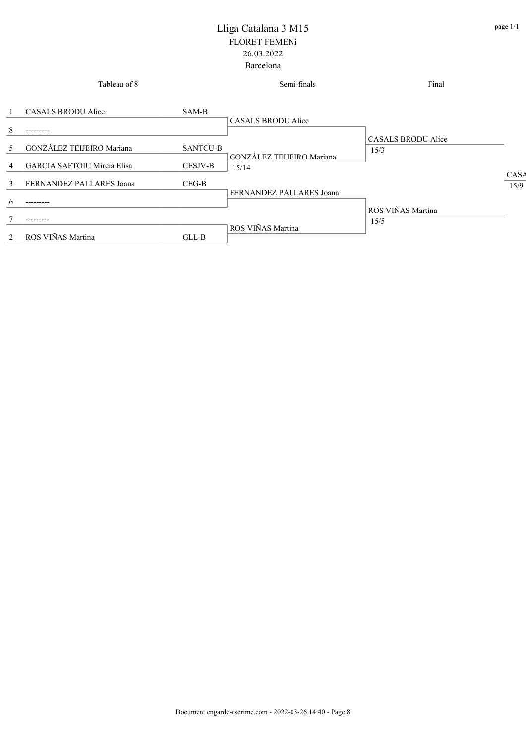|                | Tableau of 8                       |                 | Semi-finals                               | Final                      |              |
|----------------|------------------------------------|-----------------|-------------------------------------------|----------------------------|--------------|
|                | CASALS BRODU Alice                 | SAM-B           | CASALS BRODU Alice                        |                            |              |
| 8              | .                                  |                 |                                           |                            |              |
| 5              | GONZÁLEZ TEIJEIRO Mariana          | <b>SANTCU-B</b> |                                           | CASALS BRODU Alice<br>15/3 |              |
| 4              | <b>GARCIA SAFTOIU Mireia Elisa</b> | CESJV-B         | <b>GONZÁLEZ TEIJEIRO Mariana</b><br>15/14 |                            |              |
| 3              | FERNANDEZ PALLARES Joana           | $CEG-B$         |                                           |                            | CASA<br>15/9 |
| $\mathfrak{b}$ | ------                             |                 | FERNANDEZ PALLARES Joana                  |                            |              |
|                | .                                  |                 |                                           | ROS VIÑAS Martina<br>15/5  |              |
| $\mathfrak{D}$ | ROS VIÑAS Martina                  | $GLL-B$         | ROS VIÑAS Martina                         |                            |              |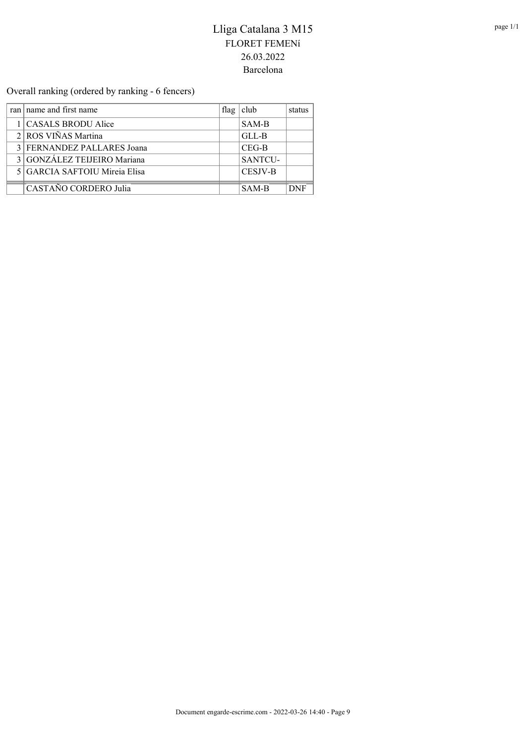Overall ranking (ordered by ranking - 6 fencers)

| ran   name and first name     | flag   club | status |
|-------------------------------|-------------|--------|
| 1 CASALS BRODU Alice          | SAM-B       |        |
| 2 ROS VIÑAS Martina           | GLL-B       |        |
| 3 FERNANDEZ PALLARES Joana    | $CEG-B$     |        |
| 3 GONZÁLEZ TEIJEIRO Mariana   | SANTCU-     |        |
| 5 GARCIA SAFTOIU Mireia Elisa | CESJV-B     |        |
| CASTAÑO CORDERO Julia         | SAM-B       | NNF    |